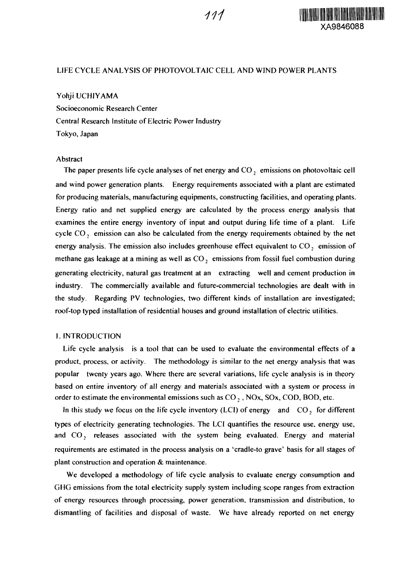

# LIFE CYCLE ANALYSIS OF PHOTOVOLTAIC CELL AND WIND POWER PLANTS

# Yohji UCHIYAMA

Socioeconomic Research Center Central Research Institute of Electric Power Industry Tokyo, Japan

# Abstract

The paper presents life cycle analyses of net energy and CO, emissions on photovoltaic cell and wind power generation plants. Energy requirements associated with a plant are estimated for producing materials, manufacturing equipments, constructing facilities, and operating plants. Energy ratio and net supplied energy are calculated by the process energy analysis that examines the entire energy inventory of input and output during life time of a plant. Life cycle  $CO<sub>2</sub>$  emission can also be calculated from the energy requirements obtained by the net energy analysis. The emission also includes greenhouse effect equivalent to  $CO<sub>2</sub>$  emission of methane gas leakage at a mining as well as  $CO<sub>2</sub>$  emissions from fossil fuel combustion during generating electricity, natural gas treatment at an extracting well and cement production in industry. The commercially available and future-commercial technologies are dealt with in the study. Regarding PV technologies, two different kinds of installation are investigated; roof-top typed installation of residential houses and ground installation of electric utilities.

# I. INTRODUCTION

Life cycle analysis is a tool that can be used to evaluate the environmental effects of a product, process, or activity. The methodology is similar to the net energy analysis that was popular twenty years ago. Where there are several variations, life cycle analysis is in theory based on entire inventory of all energy and materials associated with a system or process in order to estimate the environmental emissions such as  $CO_2$ ,  $NOx$ ,  $SOx$ ,  $COD$ ,  $BOD$ , etc.

In this study we focus on the life cycle inventory (LCI) of energy and CO<sub>2</sub> for different types of electricity generating technologies. The LCI quantifies the resource use, energy use, and  $CO<sub>2</sub>$  releases associated with the system being evaluated. Energy and material requirements are estimated in the process analysis on a 'cradle-to grave' basis for all stages of plant construction and operation & maintenance.

We developed a methodology of life cycle analysis to evaluate energy consumption and GHG emissions from the total electricity supply system including scope ranges from extraction of energy resources through processing, power generation, transmission and distribution, to dismantling of facilities and disposal of waste. We have already reported on net energy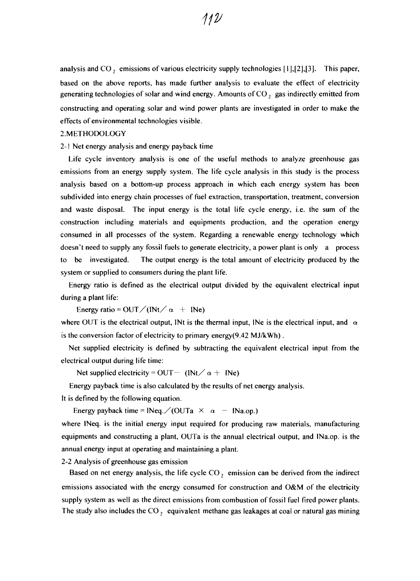analysis and  $CO<sub>2</sub>$ , emissions of various electricity supply technologies [1],[2],[3]. This paper, based on the above reports, has made further analysis to evaluate the effect of electricity generating technologies of solar and wind energy. Amounts of  $CO<sub>2</sub>$  gas indirectly emitted from constructing and operating solar and wind power plants are investigated in order to make the effects of environmental technologies visible.

#### 2. METHODOLOGY

2-1 Net energy analysis and energy payback time

Life cycle inventory analysis is one of the useful methods to analyze greenhouse gas emissions from an energy supply system. The life cycle analysis in this study is the process analysis based on a bottom-up process approach in which each energy system has been subdivided into energy chain processes of fuel extraction, transportation, treatment, conversion and waste disposal. The input energy is the total life cycle energy, i.e. the sum of the construction including materials and equipments production, and the operation energy consumed in all processes of the system. Regarding a renewable energy technology which doesn't need to supply any fossil fuels to generate electricity, a power plant is only a process to be investigated. The output energy is the total amount of electricity produced by the system or supplied to consumers during the plant life.

Energy ratio is defined as the electrical output divided by the equivalent electrical input during a plant life:

Energy ratio = OUT / ( $Nt / \alpha$  +  $Ne$ )

where OUT is the electrical output, INt is the thermal input, INe is the electrical input, and  $\alpha$ is the conversion factor of electricity to primary energy(9.42 MJ/kWh).

Net supplied electricity is defined by subtracting the equivalent electrical input from the electrical output during life time:

Net supplied electricity = OUT- (INt  $\alpha$  + INe)

Energy payback time is also calculated by the results of net energy analysis.

It is defined by the following equation.

Energy payback time =  $Neq. / (OUTa \times a - Na.$ 

where INeq. is the initial energy input required for producing raw materials, manufacturing equipments and constructing a plant, OUTa is the annual electrical output, and INa.op. is the annual energy input at operating and maintaining a plant.

2-2 Analysis of greenhouse gas emission

Based on net energy analysis, the life cycle  $CO<sub>2</sub>$  emission can be derived from the indirect emissions associated with the energy consumed for construction and O&M of the electricity supply system as well as the direct emissions from combustion of fossil fuel fired power plants. The study also includes the  $CO_2$  equivalent methane gas leakages at coal or natural gas mining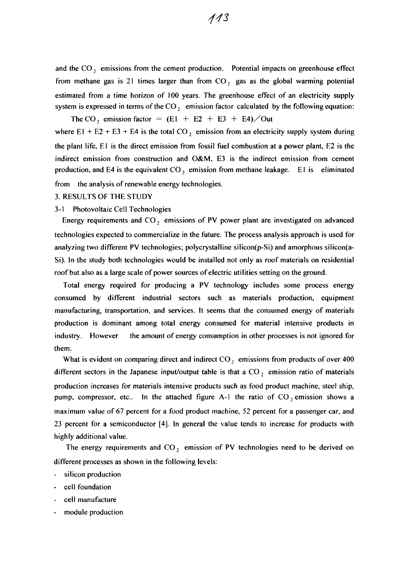from methane gas is 21 times larger than from  $CO<sub>2</sub>$  gas as the global warming potential estimated from a time horizon of 100 years. The greenhouse effect of an electricity supply system is expressed in terms of the  $CO<sub>2</sub>$  emission factor calculated by the following equation:

The CO<sub>2</sub> emission factor =  $(E1 + E2 + E3 + E4)$ /Out where  $E1 + E2 + E3 + E4$  is the total CO<sub>2</sub> emission from an electricity supply system during the plant life, El is the direct emission from fossil fuel combustion at a power plant, E2 is the indirect emission from construction and O&M. E3 is the indirect emission from cement production, and E4 is the equivalent  $CO_2$  emission from methane leakage. E1 is eliminated

from the analysis of renewable energy technologies.

### 3. RESULTS OF THE STUDY

# 3-1 Photovoltaic Cell Technologies

Energy requirements and  $CO_2$  emissions of PV power plant are investigated on advanced technologies expected to commercialize in the future. The process analysis approach is used for analyzing two different PV technologies; polycrystalline silicon(p-Si) and amorphous silicon(a-Si). In the study both technologies would be installed not only as roof materials on residential roof but also as a large scale of power sources of electric utilities setting on the ground.

Total energy required for producing a PV technology includes some process energy consumed by different industrial sectors such as materials production, equipment manufacturing, transportation, and services. It seems that the consumed energy of materials production is dominant among total energy consumed for material intensive products in industry. However the amount of energy consumption in other processes is not ignored for them.

What is evident on comparing direct and indirect CO, emissions from products of over 400 different sectors in the Japanese input/output table is that a  $CO<sub>2</sub>$  emission ratio of materials production increases for materials intensive products such as food product machine, steel ship, pump, compressor, etc.. In the attached figure A-1 the ratio of  $CO<sub>2</sub>$  emission shows a maximum value of 67 percent for a food product machine, 52 percent for a passenger car, and 23 percent for a semiconductor [4]. In general the value tends to increase for products with highly additional value.

The energy requirements and  $CO<sub>2</sub>$  emission of PV technologies need to be derived on different processes as shown in the following levels:

- silicon production
- cell foundation
- cell manufacture
- module production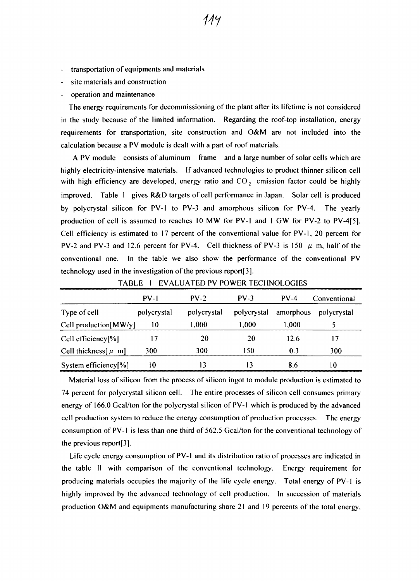- transportation of equipments and materials
- site materials and construction
- operation and maintenance

The energy requirements for decommissioning of the plant after its lifetime is not considered in the study because of the limited information. Regarding the roof-top installation, energy requirements for transportation, site construction and O&M are not included into the calculation because a PV module is dealt with a part of roof materials.

A PV module consists of aluminum frame and a large number of solar cells which are highly electricity-intensive materials. If advanced technologies to product thinner silicon cell with high efficiency are developed, energy ratio and  $CO<sub>2</sub>$  emission factor could be highly improved. Table 1 gives R&D targets of cell performance in Japan. Solar cell is produced by polycrystal silicon for PV-1 to PV-3 and amorphous silicon for PV-4. The yearly production of cell is assumed to reaches 10 MW for PV-1 and I GW for PV-2 to PV-4[5]. Cell efficiency is estimated to 17 percent of the conventional value for PV-1, 20 percent for PV-2 and PV-3 and 12.6 percent for PV-4. Cell thickness of PV-3 is 150  $\mu$  m, half of the conventional one. In the table we also show the performance of the conventional PV technology used in the investigation of the previous report[3].

|                                  | $PV-1$      | $PV-2$      | $PV-3$      | $PV-4$    | Conventional |
|----------------------------------|-------------|-------------|-------------|-----------|--------------|
| Type of cell                     | polycrystal | polycrystal | polycrystal | amorphous | polycrystal  |
| Cell production [MW/y]           | 10          | 000,        | 1,000       | 1.000     |              |
| Cell efficiency[%]               |             | 20          | 20          | 12.6      | 17           |
| Cell thickness $[\mu \text{ m}]$ | 300         | 300         | ۱۲0         | 0.3       | 300          |
| System efficiency[%]             | 10          | 13          | 13          | 8.6       | 10           |

TABLE I EVALUATED PV POWER TECHNOLOGIES

Material loss of silicon from the process of silicon ingot to module production is estimated to 74 percent for polycrystal silicon cell. The entire processes of silicon cell consumes primary energy of 166.0 Gcal/ton for the polycrystal silicon of PV-1 which is produced by the advanced cell production system to reduce the energy consumption of production processes. The energy consumption of PV-1 is less than one third of 562.5 Gcal/ton for the conventional technology of the previous report[3].

Life cycle energy consumption of PV-1 and its distribution ratio of processes are indicated in the table II with comparison of the conventional technology. Energy requirement for producing materials occupies the majority of the life cycle energy. Total energy of PV-1 is highly improved by the advanced technology of cell production. In succession of materials production O&M and equipments manufacturing share 21 and 19 percents of the total energy,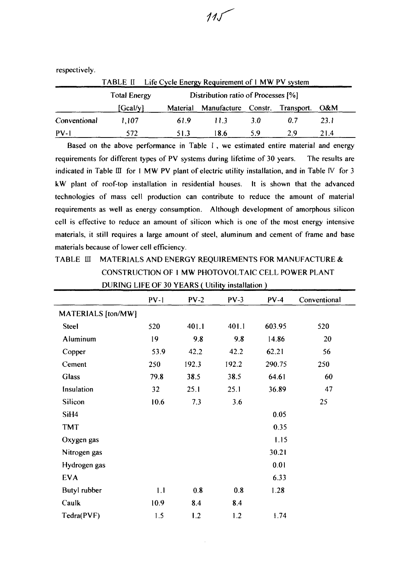TABLE II Life Cycle Energy Requirement of 1 MW PV system Total Energy Distribution ratio of Processes [%] [Gcal/y] Material Manufacture Constr. Transport. O&M Conventional 1,107 61.9 11.3 3.0 0.7 23.1 PV-1 572 51.3 18.6 5.9 2.9 21.4

 $11$ 

Based on the above performance in Table  $I$ , we estimated entire material and energy requirements for different types of PV systems during lifetime of 30 years. The results are indicated in Table  $III$  for I MW PV plant of electric utility installation, and in Table IV for 3 kW plant of roof-top installation in residential houses. It is shown that the advanced technologies of mass cell production can contribute to reduce the amount of material requirements as well as energy consumption. Although development of amorphous silicon cell is effective to reduce an amount of silicon which is one of the most energy intensive materials, it still requires a large amount of steel, aluminum and cement of frame and base materials because of lower cell efficiency.

# TABLE III MATERIALS AND ENERGY REQUIREMENTS FOR MANUFACTURE & CONSTRUCTION OF 1 MW PHOTOVOLTAIC CELL POWER PLANT DURING LIFE OF 30 YEARS ( Utility installation )

|                    | $PV-1$ | $PV-2$ | $PV-3$ | $PV-4$ | Conventional |
|--------------------|--------|--------|--------|--------|--------------|
| MATERIALS [ton/MW] |        |        |        |        |              |
| <b>Steel</b>       | 520    | 401.1  | 401.1  | 603.95 | 520          |
| Aluminum           | 19     | 9.8    | 9.8    | 14.86  | 20           |
| Copper             | 53.9   | 42.2   | 42.2   | 62.21  | 56           |
| Cement             | 250    | 192.3  | 192.2  | 290.75 | 250          |
| Glass              | 79.8   | 38.5   | 38.5   | 64.61  | 60           |
| Insulation         | 32     | 25.1   | 25.1   | 36.89  | 47           |
| Silicon            | 10.6   | 7.3    | 3.6    |        | 25           |
| SiH <sub>4</sub>   |        |        |        | 0.05   |              |
| <b>TMT</b>         |        |        |        | 0.35   |              |
| Oxygen gas         |        |        |        | 1.15   |              |
| Nitrogen gas       |        |        |        | 30.21  |              |
| Hydrogen gas       |        |        |        | 0.01   |              |
| <b>EVA</b>         |        |        |        | 6.33   |              |
| Butyl rubber       | 1.1    | 0.8    | 0.8    | 1.28   |              |
| Caulk              | 10.9   | 8.4    | 8.4    |        |              |
| Tedra(PVF)         | 1.5    | 1.2    | 1.2    | 1.74   |              |

respectively.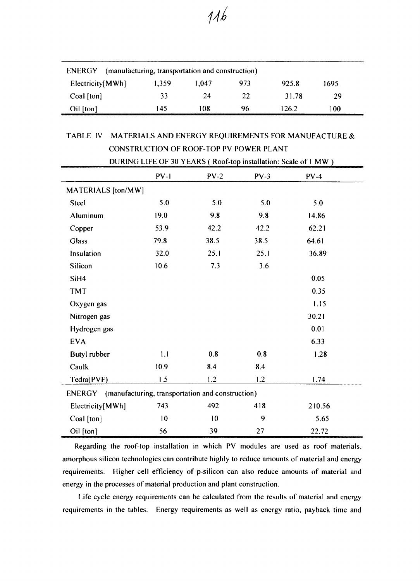| ENERGY           | (manufacturing, transportation and construction) |       |     |       |      |  |
|------------------|--------------------------------------------------|-------|-----|-------|------|--|
| Electricity[MWh] | 1.359                                            | 1.047 | 973 | 925.8 | 1695 |  |
| Coal [ton]       | 33                                               | 24    | 22  | 3178  | ንባ   |  |
| Oil [ton]        | 145                                              | 108   | 96  | 126.2 | 100. |  |

# TABLE IV MATERIALS AND ENERGY REQUIREMENTS FOR MANUFACTURE & CONSTRUCTION OF ROOF-TOP PV POWER PLANT

×

| DURING LIFE OF 30 YEARS (Roof-top installation: Scale of 1 MW) |        |        |        |        |  |
|----------------------------------------------------------------|--------|--------|--------|--------|--|
|                                                                | $PV-1$ | $PV-2$ | $PV-3$ | $PV-4$ |  |
| MATERIALS [ton/MW]                                             |        |        |        |        |  |
| Steel                                                          | 5.0    | 5.0    | 5.0    | 5.0    |  |
| Aluminum                                                       | 19.0   | 9.8    | 9.8    | 14.86  |  |
| Copper                                                         | 53.9   | 42.2   | 42.2   | 62.21  |  |
| <b>Glass</b>                                                   | 79.8   | 38.5   | 38.5   | 64.61  |  |
| Insulation                                                     | 32.0   | 25.1   | 25.1   | 36.89  |  |
| Silicon                                                        | 10.6   | 7.3    | 3.6    |        |  |
| SiH <sub>4</sub>                                               |        |        |        | 0.05   |  |
| <b>TMT</b>                                                     |        |        |        | 0.35   |  |
| Oxygen gas                                                     |        |        |        | 1.15   |  |
| Nitrogen gas                                                   |        |        |        | 30.21  |  |
| Hydrogen gas                                                   |        |        |        | 0.01   |  |
| <b>EVA</b>                                                     |        |        |        | 6.33   |  |
| Butyl rubber                                                   | 1.1    | 0.8    | 0.8    | 1.28   |  |
| Caulk                                                          | 10.9   | 8.4    | 8.4    |        |  |
| Tedra(PVF)                                                     | 1.5    | 1.2    | 1.2    | 1.74   |  |
| ENERGY (manufacturing, transportation and construction)        |        |        |        |        |  |
| Electricity[MWh]                                               | 743    | 492    | 418    | 210.56 |  |
| Coal [ton]                                                     | 10     | 10     | 9      | 5.65   |  |
| Oil [ton]                                                      | 56     | 39     | 27     | 22.72  |  |

Regarding the roof-top installation in which PV modules are used as roof materials, amorphous silicon technologies can contribute highly to reduce amounts of material and energy requirements. Higher cell efficiency of p-silicon can also reduce amounts of material and energy in the processes of material production and plant construction.

Life cycle energy requirements can be calculated from the results of material and energy requirements in the tables. Energy requirements as well as energy ratio, payback time and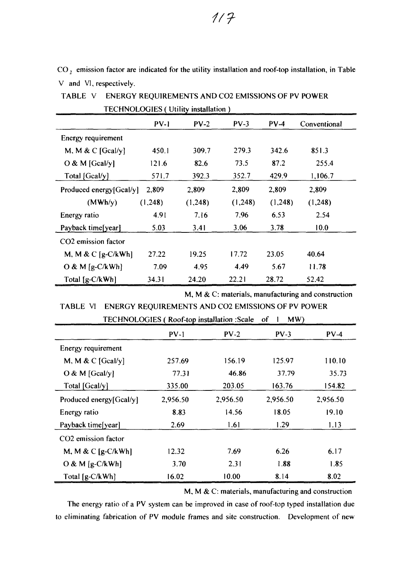$CO<sub>2</sub>$  emission factor are indicated for the utility installation and roof-top installation, in Table V and VI, respectively.

| LECHNOLOGIES ( Utility installation ) |          |         |         |         |              |
|---------------------------------------|----------|---------|---------|---------|--------------|
|                                       | $PV-1$   | $PV-2$  | $PV-3$  | $PV-4$  | Conventional |
| Energy requirement                    |          |         |         |         |              |
| M, M & C $[Gcal/y]$                   | 450.1    | 309.7   | 279.3   | 342.6   | 851.3        |
| $O & M$ [Gcal/y]                      | 121.6    | 82.6    | 73.5    | 87.2    | 255.4        |
| Total [Gcal/y]                        | 571.7    | 392.3   | 352.7   | 429.9   | 1,106.7      |
| Produced energy[Gcal/y]               | 2,809    | 2,809   | 2,809   | 2,809   | 2,809        |
| (MWh/y)                               | (1, 248) | (1,248) | (1,248) | (1,248) | (1,248)      |
| Energy ratio                          | 4.91     | 7.16    | 7.96    | 6.53    | 2.54         |
| Payback time[year]                    | 5.03     | 3.41    | 3.06    | 3.78    | 10.0         |
| CO <sub>2</sub> emission factor       |          |         |         |         |              |
| M, M & C $[g-C/kWh]$                  | 27.22    | 19.25   | 17.72   | 23.05   | 40.64        |
| O & M $[g-C/kWh]$                     | 7.09     | 4.95    | 4.49    | 5.67    | 11.78        |
| Total [g-C/kWh]                       | 34.31    | 24.20   | 22.21   | 28.72   | 52.42        |

TABLE V ENERGY REQUIREMENTS AND CO2 EMISSIONS OF PV POWER TECHNOLOGIES ( Utility installation )

M, M & C: materials, manufacturing and construction

TABLE VI ENERGY REQUIREMENTS AND CO2 EMISSIONS OF PV POWER TECHNOLOGIES ( Roof-top installation .Scale of 1 MW)

|                                 | <b>ELCTRYOLOGILO</b> ( <i>ROOFTOP Manament count</i> |          | . <i>.</i> |          |
|---------------------------------|------------------------------------------------------|----------|------------|----------|
|                                 | $PV-1$                                               | $PV-2$   | $PV-3$     | $PV-4$   |
| Energy requirement              |                                                      |          |            |          |
| M, M & C $[Gcal/y]$             | 257.69                                               | 156.19   | 125.97     | 110.10   |
| $O & M$ [Gcal/y]                | 77.31                                                | 46.86    | 37.79      | 35.73    |
| Total [Gcal/y]                  | 335.00                                               | 203.05   | 163.76     | 154.82   |
| Produced energy[Gcal/y]         | 2,956.50                                             | 2,956.50 | 2,956.50   | 2,956.50 |
| Energy ratio                    | 8.83                                                 | 14.56    | 18.05      | 19.10    |
| Payback time[year]              | 2.69                                                 | 1.61     | 1.29       | 1.13     |
| CO <sub>2</sub> emission factor |                                                      |          |            |          |
| M, M & C $[g-C/kWh]$            | 12.32                                                | 7.69     | 6.26       | 6.17     |
| $O & M[g-C/kWh]$                | 3.70                                                 | 2.31     | 1.88       | 1.85     |
| Total $[g-C/kWh]$               | 16.02                                                | 10.00    | 8.14       | 8.02     |

M. M & C: materials, manufacturing and construction

The energy ratio of a PV system can be improved in case of roof-top typed installation due to eliminating fabrication of PV module frames and site construction. Development of new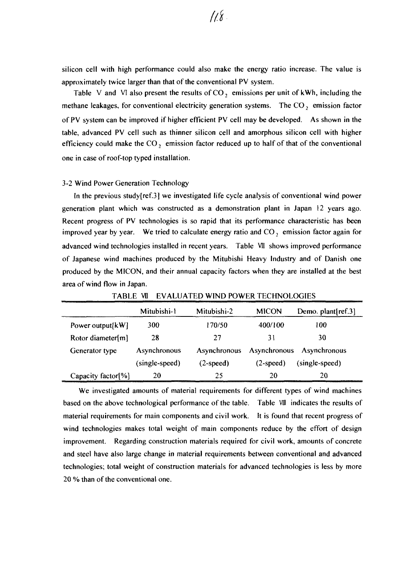silicon cell with high performance could also make the energy ratio increase. The value is approximately twice larger than that of the conventional PV system.

Table V and VI also present the results of  $CO<sub>2</sub>$  emissions per unit of kWh, including the methane leakages, for conventional electricity generation systems. The  $CO<sub>2</sub>$  emission factor of PV system can be improved if higher efficient PV cell may be developed. As shown in the table, advanced PV cell such as thinner silicon cell and amorphous silicon cell with higher efficiency could make the CO, emission factor reduced up to half of that of the conventional one in case of roof-top typed installation.

#### 3-2 Wind Power Generation Technology

In the previous study[ref.3] we investigated life cycle analysis of conventional wind power generation plant which was constructed as a demonstration plant in Japan 12 years ago. Recent progress of PV technologies is so rapid that its performance characteristic has been improved year by year. We tried to calculate energy ratio and CO, emission factor again for advanced wind technologies installed in recent years. Table VII shows improved performance of Japanese wind machines produced by the Mitubishi Heavy Industry and of Danish one produced by the MICON, and their annual capacity factors when they are installed at the best area of wind flow in Japan.

|                     | Mitubishi-1    | Mitubishi-2  | <b>MICON</b> | Demo. plant $[ref.3]$ |
|---------------------|----------------|--------------|--------------|-----------------------|
| Power output $[kW]$ | 300            | 170/50       | 400/100      | 100                   |
| Rotor diameter[m]   | 28             | 27           | 31           | 30                    |
| Generator type      | Asynchronous   | Asynchronous | Asynchronous | Asynchronous          |
|                     | (single-speed) | $(2-speed)$  | $(2-speed)$  | (single-speed)        |
| Capacity factor[%]  | 20             | 25           | 20           | 20                    |

TABLE VII EVALUATED WIND POWER TECHNOLOGIES

We investigated amounts of material requirements for different types of wind machines based on the above technological performance of the table. Table VIII indicates the results of material requirements for main components and civil work. It is found that recent progress of wind technologies makes total weight of main components reduce by the effort of design improvement. Regarding construction materials required for civil work, amounts of concrete and steel have also large change in material requirements between conventional and advanced technologies; total weight of construction materials for advanced technologies is less by more 20 % than of the conventional one.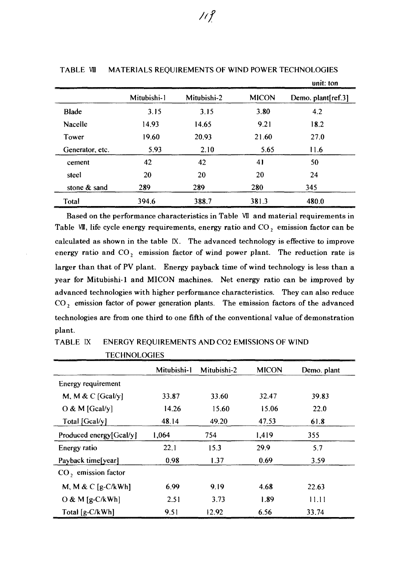|                 |             |             |              | unit: ton          |
|-----------------|-------------|-------------|--------------|--------------------|
|                 | Mitubishi-1 | Mitubishi-2 | <b>MICON</b> | Demo. plant[ref.3] |
| <b>Blade</b>    | 3.15        | 3.15        | 3.80         | 4.2                |
| Nacelle         | 14.93       | 14.65       | 9.21         | 18.2               |
| Tower           | 19.60       | 20.93       | 21.60        | 27.0               |
| Generator, etc. | 5.93        | 2.10        | 5.65         | 11.6               |
| cement          | 42          | 42          | 41           | 50                 |
| steel           | 20          | 20          | 20           | 24                 |
| stone & sand    | 289         | 289         | 280          | 345                |
| Total           | 394.6       | 388.7       | 381.3        | 480.0              |

TABLE VII MATERIALS REQUIREMENTS OF WIND POWER TECHNOLOGIES

Based on the performance characteristics in Table VII and material requirements in Table VII, life cycle energy requirements, energy ratio and  $CO<sub>2</sub>$  emission factor can be calculated as shown in the table IX. The advanced technology is effective to improve energy ratio and  $CO<sub>2</sub>$  emission factor of wind power plant. The reduction rate is larger than that of PV plant. Energy payback time of wind technology is less than a year for Mitubishi-1 and MICON machines. Net energy ratio can be improved by advanced technologies with higher performance characteristics. They can also reduce CO<sub>2</sub> emission factor of power generation plants. The emission factors of the advanced technologies are from one third to one fifth of the conventional value of demonstration plant.

| <b>ENERGY REQUIREMENTS AND CO2 EMISSIONS OF WIND</b><br>TABLE IX |  |
|------------------------------------------------------------------|--|
|------------------------------------------------------------------|--|

|                                 | Mitubishi-1 | Mitubishi-2 | <b>MICON</b> | Demo. plant |  |
|---------------------------------|-------------|-------------|--------------|-------------|--|
| Energy requirement              |             |             |              |             |  |
| M, M & C [Gcal/y]               | 33.87       | 33.60       | 32.47        | 39.83       |  |
| $O & M$ [Gcal/y]                | 14.26       | 15.60       | 15.06        | 22.0        |  |
| Total [Gcal/y]                  | 48.14       | 49.20       | 47.53        | 61.8        |  |
| Produced energy[Gcal/y]         | 1,064       | 754         | 1,419        | 355         |  |
| Energy ratio                    | 22.1        | 15.3        | 29.9         | 5.7         |  |
| Payback time[year]              | 0.98        | 1.37        | 0.69         | 3.59        |  |
| CO <sub>2</sub> emission factor |             |             |              |             |  |
| M, M & C $[g-C/kWh]$            | 6.99        | 9.19        | 4.68         | 22.63       |  |
| $O & M [g-C/kWh]$               | 2.51        | 3.73        | 1.89         | 11.11       |  |
| Total [g-C/kWh]                 | 9.51        | 12.92       | 6.56         | 33.74       |  |

TECHNOLOGIES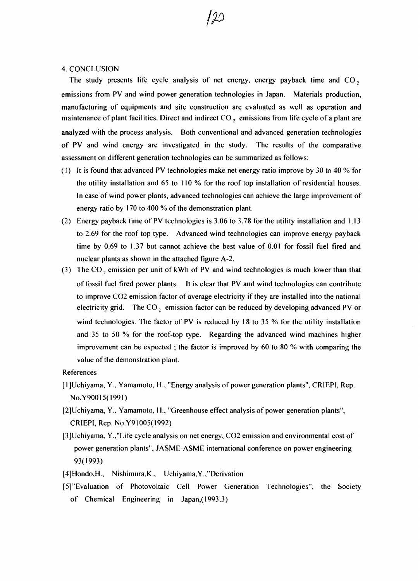### 4. CONCLUSION

The study presents life cycle analysis of net energy, energy payback time and  $CO<sub>2</sub>$ emissions from PV and wind power generation technologies in Japan. Materials production, manufacturing of equipments and site construction are evaluated as well as operation and maintenance of plant facilities. Direct and indirect  $CO<sub>2</sub>$  emissions from life cycle of a plant are analyzed with the process analysis. Both conventional and advanced generation technologies of PV and wind energy are investigated in the study. The results of the comparative assessment on different generation technologies can be summarized as follows:

- (1) It is found that advanced PV technologies make net energy ratio improve by 30 to 40 % for the utility installation and 65 to 110 % for the roof top installation of residential houses. In case of wind power plants, advanced technologies can achieve the large improvement of energy ratio by 170 to 400 % of the demonstration plant.
- (2) Energy payback time of PV technologies is 3.06 to 3.78 for the utility installation and 1.13 to 2.69 for the roof top type. Advanced wind technologies can improve energy payback time by 0.69 to 1.37 but cannot achieve the best value of 0.01 for fossil fuel fired and nuclear plants as shown in the attached figure A-2.
- (3) The  $CO_2$  emission per unit of kWh of PV and wind technologies is much lower than that of fossil fuel fired power plants. It is clear that PV and wind technologies can contribute to improve CO2 emission factor of average electricity if they are installed into the national electricity grid. The CO, emission factor can be reduced by developing advanced PV or wind technologies. The factor of PV is reduced by 18 to 35 % for the utility installation and 35 to 50 % for the roof-top type. Regarding the advanced wind machines higher improvement can be expected ; the factor is improved by 60 to 80 % with comparing the value of the demonstration plant.

### References

- [ 1 JUchiyama, Y., Yamamoto, H., "Energy analysis of power generation plants", CRIEPI, Rep. No.Y90015(1991)
- [2]L)chiyama, Y., Yamamoto, H., "Greenhouse effect analysis of power generation plants", CRIEPI, Rep. No.Y91005(1992)
- [3]Uchiyama, Y.,"Life cycle analysis on net energy, CO2 emission and environmental cost of power generation plants", JASME-ASME international conference on power engineering 93(1993)
- [4]Hondo,H., Nishimura,K., Uchiyama,Y.,"Derivation
- [5]"Evaluation of Photovoltaic Cell Power Generation Technologies", the Society of Chemical Engineering in Japan,( 1993.3)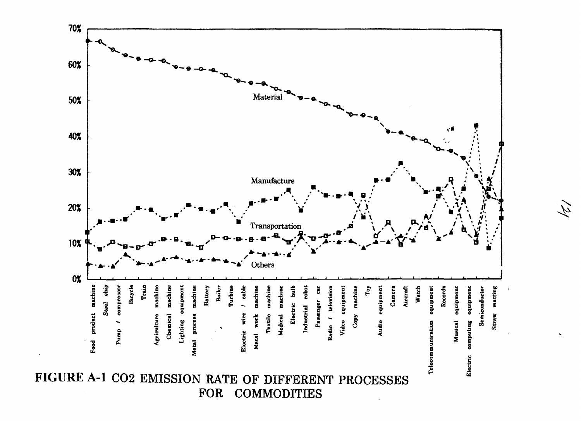

121